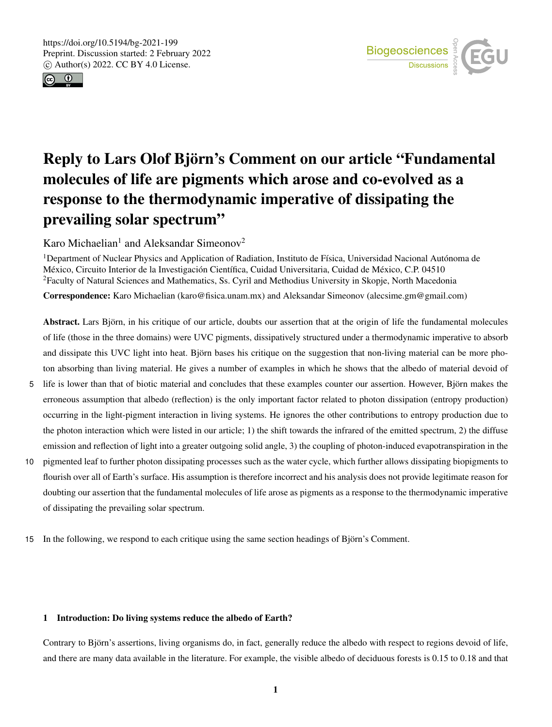



# Reply to Lars Olof Björn's Comment on our article "Fundamental molecules of life are pigments which arose and co-evolved as a response to the thermodynamic imperative of dissipating the prevailing solar spectrum"

Karo Michaelian<sup>1</sup> and Aleksandar Simeonov<sup>2</sup>

<sup>1</sup>Department of Nuclear Physics and Application of Radiation, Instituto de Física, Universidad Nacional Autónoma de México, Circuito Interior de la Investigación Científica, Cuidad Universitaria, Cuidad de México, C.P. 04510 <sup>2</sup>Faculty of Natural Sciences and Mathematics, Ss. Cyril and Methodius University in Skopje, North Macedonia Correspondence: Karo Michaelian (karo@fisica.unam.mx) and Aleksandar Simeonov (alecsime.gm@gmail.com)

Abstract. Lars Björn, in his critique of our article, doubts our assertion that at the origin of life the fundamental molecules of life (those in the three domains) were UVC pigments, dissipatively structured under a thermodynamic imperative to absorb and dissipate this UVC light into heat. Björn bases his critique on the suggestion that non-living material can be more photon absorbing than living material. He gives a number of examples in which he shows that the albedo of material devoid of

- 5 life is lower than that of biotic material and concludes that these examples counter our assertion. However, Björn makes the erroneous assumption that albedo (reflection) is the only important factor related to photon dissipation (entropy production) occurring in the light-pigment interaction in living systems. He ignores the other contributions to entropy production due to the photon interaction which were listed in our article; 1) the shift towards the infrared of the emitted spectrum, 2) the diffuse emission and reflection of light into a greater outgoing solid angle, 3) the coupling of photon-induced evapotranspiration in the
- 10 pigmented leaf to further photon dissipating processes such as the water cycle, which further allows dissipating biopigments to flourish over all of Earth's surface. His assumption is therefore incorrect and his analysis does not provide legitimate reason for doubting our assertion that the fundamental molecules of life arose as pigments as a response to the thermodynamic imperative of dissipating the prevailing solar spectrum.
- 15 In the following, we respond to each critique using the same section headings of Björn's Comment.

## 1 Introduction: Do living systems reduce the albedo of Earth?

Contrary to Björn's assertions, living organisms do, in fact, generally reduce the albedo with respect to regions devoid of life, and there are many data available in the literature. For example, the visible albedo of deciduous forests is 0.15 to 0.18 and that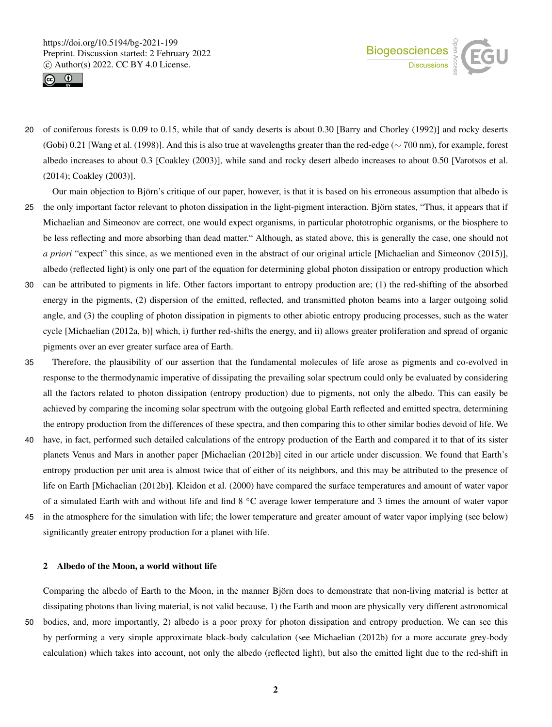



- 20 of coniferous forests is 0.09 to 0.15, while that of sandy deserts is about 0.30 [Barry and Chorley (1992)] and rocky deserts (Gobi) 0.21 [Wang et al. (1998)]. And this is also true at wavelengths greater than the red-edge (∼ 700 nm), for example, forest albedo increases to about 0.3 [Coakley (2003)], while sand and rocky desert albedo increases to about 0.50 [Varotsos et al. (2014); Coakley (2003)].
- Our main objection to Björn's critique of our paper, however, is that it is based on his erroneous assumption that albedo is 25 the only important factor relevant to photon dissipation in the light-pigment interaction. Björn states, "Thus, it appears that if Michaelian and Simeonov are correct, one would expect organisms, in particular phototrophic organisms, or the biosphere to be less reflecting and more absorbing than dead matter." Although, as stated above, this is generally the case, one should not *a priori* "expect" this since, as we mentioned even in the abstract of our original article [Michaelian and Simeonov (2015)], albedo (reflected light) is only one part of the equation for determining global photon dissipation or entropy production which
- 30 can be attributed to pigments in life. Other factors important to entropy production are; (1) the red-shifting of the absorbed energy in the pigments, (2) dispersion of the emitted, reflected, and transmitted photon beams into a larger outgoing solid angle, and (3) the coupling of photon dissipation in pigments to other abiotic entropy producing processes, such as the water cycle [Michaelian (2012a, b)] which, i) further red-shifts the energy, and ii) allows greater proliferation and spread of organic pigments over an ever greater surface area of Earth.
- 35 Therefore, the plausibility of our assertion that the fundamental molecules of life arose as pigments and co-evolved in response to the thermodynamic imperative of dissipating the prevailing solar spectrum could only be evaluated by considering all the factors related to photon dissipation (entropy production) due to pigments, not only the albedo. This can easily be achieved by comparing the incoming solar spectrum with the outgoing global Earth reflected and emitted spectra, determining the entropy production from the differences of these spectra, and then comparing this to other similar bodies devoid of life. We
- 40 have, in fact, performed such detailed calculations of the entropy production of the Earth and compared it to that of its sister planets Venus and Mars in another paper [Michaelian (2012b)] cited in our article under discussion. We found that Earth's entropy production per unit area is almost twice that of either of its neighbors, and this may be attributed to the presence of life on Earth [Michaelian (2012b)]. Kleidon et al. (2000) have compared the surface temperatures and amount of water vapor of a simulated Earth with and without life and find 8 ◦C average lower temperature and 3 times the amount of water vapor
- 45 in the atmosphere for the simulation with life; the lower temperature and greater amount of water vapor implying (see below) significantly greater entropy production for a planet with life.

#### 2 Albedo of the Moon, a world without life

Comparing the albedo of Earth to the Moon, in the manner Björn does to demonstrate that non-living material is better at dissipating photons than living material, is not valid because, 1) the Earth and moon are physically very different astronomical 50 bodies, and, more importantly, 2) albedo is a poor proxy for photon dissipation and entropy production. We can see this by performing a very simple approximate black-body calculation (see Michaelian (2012b) for a more accurate grey-body calculation) which takes into account, not only the albedo (reflected light), but also the emitted light due to the red-shift in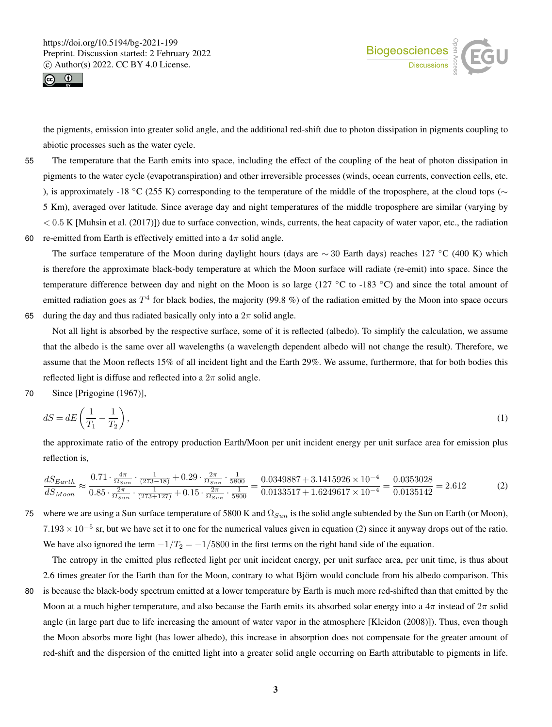



the pigments, emission into greater solid angle, and the additional red-shift due to photon dissipation in pigments coupling to abiotic processes such as the water cycle.

- 55 The temperature that the Earth emits into space, including the effect of the coupling of the heat of photon dissipation in pigments to the water cycle (evapotranspiration) and other irreversible processes (winds, ocean currents, convection cells, etc. ), is approximately -18 °C (255 K) corresponding to the temperature of the middle of the troposphere, at the cloud tops ( $\sim$ 5 Km), averaged over latitude. Since average day and night temperatures of the middle troposphere are similar (varying by  $< 0.5$  K [Muhsin et al. (2017)]) due to surface convection, winds, currents, the heat capacity of water vapor, etc., the radiation
- 60 re-emitted from Earth is effectively emitted into a  $4\pi$  solid angle.

The surface temperature of the Moon during daylight hours (days are  $\sim$  30 Earth days) reaches 127 °C (400 K) which is therefore the approximate black-body temperature at which the Moon surface will radiate (re-emit) into space. Since the temperature difference between day and night on the Moon is so large (127 °C to -183 °C) and since the total amount of emitted radiation goes as  $T^4$  for black bodies, the majority (99.8 %) of the radiation emitted by the Moon into space occurs 65 during the day and thus radiated basically only into a  $2\pi$  solid angle.

Not all light is absorbed by the respective surface, some of it is reflected (albedo). To simplify the calculation, we assume that the albedo is the same over all wavelengths (a wavelength dependent albedo will not change the result). Therefore, we assume that the Moon reflects 15% of all incident light and the Earth 29%. We assume, furthermore, that for both bodies this reflected light is diffuse and reflected into a  $2\pi$  solid angle.

70 Since [Prigogine (1967)],

$$
dS = dE\left(\frac{1}{T_1} - \frac{1}{T_2}\right),\tag{1}
$$

the approximate ratio of the entropy production Earth/Moon per unit incident energy per unit surface area for emission plus reflection is,

$$
\frac{dS_{Earth}}{dS_{Moon}} \approx \frac{0.71 \cdot \frac{4\pi}{\Omega_{Sun}} \cdot \frac{1}{(273-18)} + 0.29 \cdot \frac{2\pi}{\Omega_{Sun}} \cdot \frac{1}{5800}}{0.0133517 + 1.6249617 \times 10^{-4}} = \frac{0.0353028}{0.0135142} = 2.612
$$
 (2)

75 where we are using a Sun surface temperature of 5800 K and  $\Omega_{Sun}$  is the solid angle subtended by the Sun on Earth (or Moon),  $7.193 \times 10^{-5}$  sr, but we have set it to one for the numerical values given in equation (2) since it anyway drops out of the ratio. We have also ignored the term  $-1/T_2 = -1/5800$  in the first terms on the right hand side of the equation.

The entropy in the emitted plus reflected light per unit incident energy, per unit surface area, per unit time, is thus about 2.6 times greater for the Earth than for the Moon, contrary to what Björn would conclude from his albedo comparison. This 80 is because the black-body spectrum emitted at a lower temperature by Earth is much more red-shifted than that emitted by the Moon at a much higher temperature, and also because the Earth emits its absorbed solar energy into a  $4\pi$  instead of  $2\pi$  solid angle (in large part due to life increasing the amount of water vapor in the atmosphere [Kleidon (2008)]). Thus, even though the Moon absorbs more light (has lower albedo), this increase in absorption does not compensate for the greater amount of

red-shift and the dispersion of the emitted light into a greater solid angle occurring on Earth attributable to pigments in life.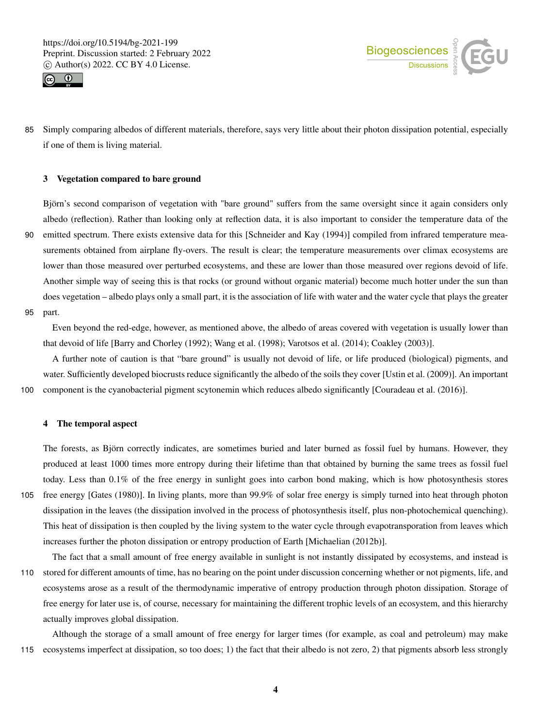



85 Simply comparing albedos of different materials, therefore, says very little about their photon dissipation potential, especially if one of them is living material.

#### 3 Vegetation compared to bare ground

Björn's second comparison of vegetation with "bare ground" suffers from the same oversight since it again considers only albedo (reflection). Rather than looking only at reflection data, it is also important to consider the temperature data of the 90 emitted spectrum. There exists extensive data for this [Schneider and Kay (1994)] compiled from infrared temperature measurements obtained from airplane fly-overs. The result is clear; the temperature measurements over climax ecosystems are lower than those measured over perturbed ecosystems, and these are lower than those measured over regions devoid of life. Another simple way of seeing this is that rocks (or ground without organic material) become much hotter under the sun than does vegetation – albedo plays only a small part, it is the association of life with water and the water cycle that plays the greater 95 part.

Even beyond the red-edge, however, as mentioned above, the albedo of areas covered with vegetation is usually lower than that devoid of life [Barry and Chorley (1992); Wang et al. (1998); Varotsos et al. (2014); Coakley (2003)].

A further note of caution is that "bare ground" is usually not devoid of life, or life produced (biological) pigments, and water. Sufficiently developed biocrusts reduce significantly the albedo of the soils they cover [Ustin et al. (2009)]. An important 100 component is the cyanobacterial pigment scytonemin which reduces albedo significantly [Couradeau et al. (2016)].

#### 4 The temporal aspect

The forests, as Björn correctly indicates, are sometimes buried and later burned as fossil fuel by humans. However, they produced at least 1000 times more entropy during their lifetime than that obtained by burning the same trees as fossil fuel today. Less than 0.1% of the free energy in sunlight goes into carbon bond making, which is how photosynthesis stores 105 free energy [Gates (1980)]. In living plants, more than 99.9% of solar free energy is simply turned into heat through photon

- dissipation in the leaves (the dissipation involved in the process of photosynthesis itself, plus non-photochemical quenching). This heat of dissipation is then coupled by the living system to the water cycle through evapotransporation from leaves which increases further the photon dissipation or entropy production of Earth [Michaelian (2012b)].
- The fact that a small amount of free energy available in sunlight is not instantly dissipated by ecosystems, and instead is 110 stored for different amounts of time, has no bearing on the point under discussion concerning whether or not pigments, life, and ecosystems arose as a result of the thermodynamic imperative of entropy production through photon dissipation. Storage of free energy for later use is, of course, necessary for maintaining the different trophic levels of an ecosystem, and this hierarchy actually improves global dissipation.

Although the storage of a small amount of free energy for larger times (for example, as coal and petroleum) may make 115 ecosystems imperfect at dissipation, so too does; 1) the fact that their albedo is not zero, 2) that pigments absorb less strongly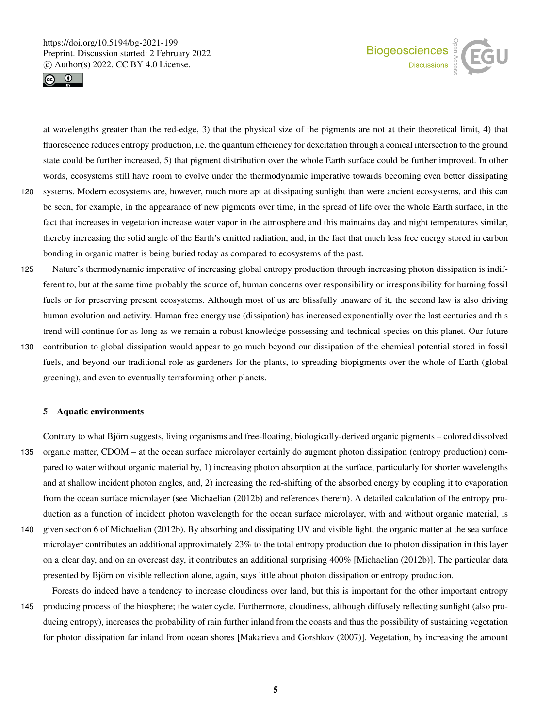



at wavelengths greater than the red-edge, 3) that the physical size of the pigments are not at their theoretical limit, 4) that fluorescence reduces entropy production, i.e. the quantum efficiency for dexcitation through a conical intersection to the ground state could be further increased, 5) that pigment distribution over the whole Earth surface could be further improved. In other words, ecosystems still have room to evolve under the thermodynamic imperative towards becoming even better dissipating

- 120 systems. Modern ecosystems are, however, much more apt at dissipating sunlight than were ancient ecosystems, and this can be seen, for example, in the appearance of new pigments over time, in the spread of life over the whole Earth surface, in the fact that increases in vegetation increase water vapor in the atmosphere and this maintains day and night temperatures similar, thereby increasing the solid angle of the Earth's emitted radiation, and, in the fact that much less free energy stored in carbon bonding in organic matter is being buried today as compared to ecosystems of the past.
- 125 Nature's thermodynamic imperative of increasing global entropy production through increasing photon dissipation is indifferent to, but at the same time probably the source of, human concerns over responsibility or irresponsibility for burning fossil fuels or for preserving present ecosystems. Although most of us are blissfully unaware of it, the second law is also driving human evolution and activity. Human free energy use (dissipation) has increased exponentially over the last centuries and this trend will continue for as long as we remain a robust knowledge possessing and technical species on this planet. Our future
- 130 contribution to global dissipation would appear to go much beyond our dissipation of the chemical potential stored in fossil fuels, and beyond our traditional role as gardeners for the plants, to spreading biopigments over the whole of Earth (global greening), and even to eventually terraforming other planets.

#### 5 Aquatic environments

Contrary to what Björn suggests, living organisms and free-floating, biologically-derived organic pigments – colored dissolved 135 organic matter, CDOM – at the ocean surface microlayer certainly do augment photon dissipation (entropy production) compared to water without organic material by, 1) increasing photon absorption at the surface, particularly for shorter wavelengths and at shallow incident photon angles, and, 2) increasing the red-shifting of the absorbed energy by coupling it to evaporation from the ocean surface microlayer (see Michaelian (2012b) and references therein). A detailed calculation of the entropy production as a function of incident photon wavelength for the ocean surface microlayer, with and without organic material, is 140 given section 6 of Michaelian (2012b). By absorbing and dissipating UV and visible light, the organic matter at the sea surface

- microlayer contributes an additional approximately 23% to the total entropy production due to photon dissipation in this layer on a clear day, and on an overcast day, it contributes an additional surprising 400% [Michaelian (2012b)]. The particular data presented by Björn on visible reflection alone, again, says little about photon dissipation or entropy production.
- Forests do indeed have a tendency to increase cloudiness over land, but this is important for the other important entropy 145 producing process of the biosphere; the water cycle. Furthermore, cloudiness, although diffusely reflecting sunlight (also producing entropy), increases the probability of rain further inland from the coasts and thus the possibility of sustaining vegetation for photon dissipation far inland from ocean shores [Makarieva and Gorshkov (2007)]. Vegetation, by increasing the amount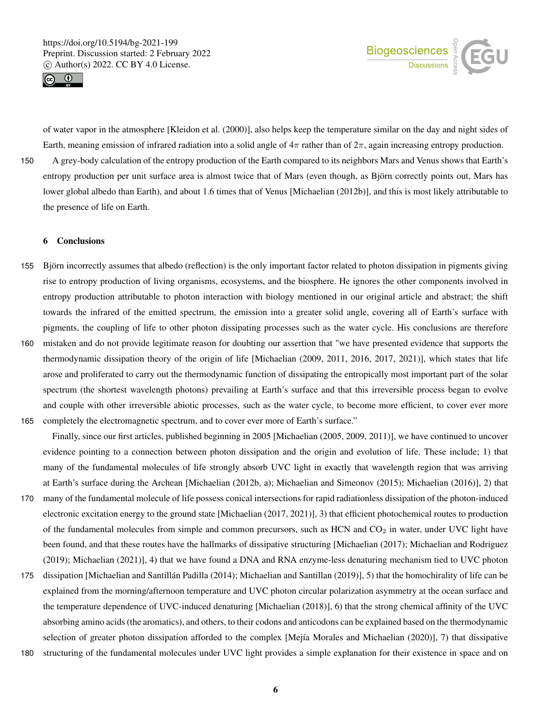



Earth, meaning emission of infrared radiation into a solid angle of  $4\pi$  rather than of  $2\pi$ , again increasing entropy production. 150 A grey-body calculation of the entropy production of the Earth compared to its neighbors Mars and Venus shows that Earth's entropy production per unit surface area is almost twice that of Mars (even though, as Björn correctly points out, Mars has lower global albedo than Earth), and about 1.6 times that of Venus [Michaelian (2012b)], and this is most likely attributable to the presence of life on Earth.

of water vapor in the atmosphere [Kleidon et al. (2000)], also helps keep the temperature similar on the day and night sides of

### 6 Conclusions

- 155 Björn incorrectly assumes that albedo (reflection) is the only important factor related to photon dissipation in pigments giving rise to entropy production of living organisms, ecosystems, and the biosphere. He ignores the other components involved in entropy production attributable to photon interaction with biology mentioned in our original article and abstract; the shift towards the infrared of the emitted spectrum, the emission into a greater solid angle, covering all of Earth's surface with pigments, the coupling of life to other photon dissipating processes such as the water cycle. His conclusions are therefore
- 160 mistaken and do not provide legitimate reason for doubting our assertion that "we have presented evidence that supports the thermodynamic dissipation theory of the origin of life [Michaelian (2009, 2011, 2016, 2017, 2021)], which states that life arose and proliferated to carry out the thermodynamic function of dissipating the entropically most important part of the solar spectrum (the shortest wavelength photons) prevailing at Earth's surface and that this irreversible process began to evolve and couple with other irreversible abiotic processes, such as the water cycle, to become more efficient, to cover ever more 165 completely the electromagnetic spectrum, and to cover ever more of Earth's surface."

Finally, since our first articles, published beginning in 2005 [Michaelian (2005, 2009, 2011)], we have continued to uncover evidence pointing to a connection between photon dissipation and the origin and evolution of life. These include; 1) that many of the fundamental molecules of life strongly absorb UVC light in exactly that wavelength region that was arriving at Earth's surface during the Archean [Michaelian (2012b, a); Michaelian and Simeonov (2015); Michaelian (2016)], 2) that

- 170 many of the fundamental molecule of life possess conical intersections for rapid radiationless dissipation of the photon-induced electronic excitation energy to the ground state [Michaelian (2017, 2021)], 3) that efficient photochemical routes to production of the fundamental molecules from simple and common precursors, such as HCN and  $CO<sub>2</sub>$  in water, under UVC light have been found, and that these routes have the hallmarks of dissipative structuring [Michaelian (2017); Michaelian and Rodriguez (2019); Michaelian (2021)], 4) that we have found a DNA and RNA enzyme-less denaturing mechanism tied to UVC photon
- 175 dissipation [Michaelian and Santillán Padilla (2014); Michaelian and Santillan (2019)], 5) that the homochirality of life can be explained from the morning/afternoon temperature and UVC photon circular polarization asymmetry at the ocean surface and the temperature dependence of UVC-induced denaturing [Michaelian (2018)], 6) that the strong chemical affinity of the UVC absorbing amino acids (the aromatics), and others, to their codons and anticodons can be explained based on the thermodynamic selection of greater photon dissipation afforded to the complex [Mejía Morales and Michaelian (2020)], 7) that dissipative
- 180 structuring of the fundamental molecules under UVC light provides a simple explanation for their existence in space and on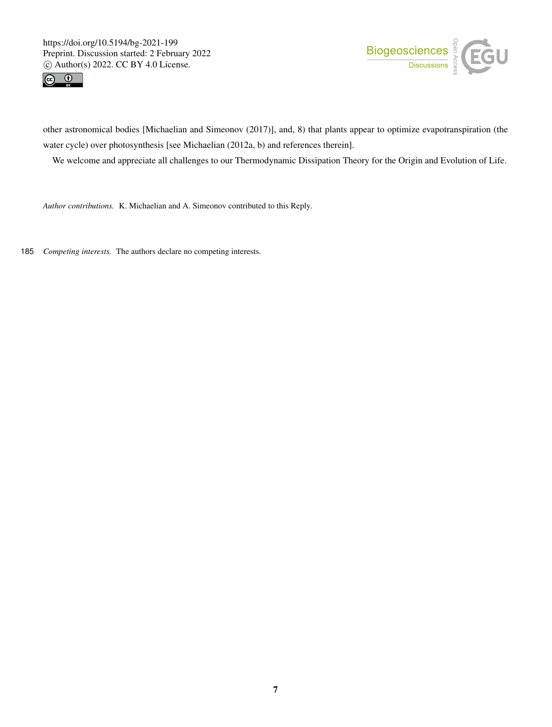



other astronomical bodies [Michaelian and Simeonov (2017)], and, 8) that plants appear to optimize evapotranspiration (the water cycle) over photosynthesis [see Michaelian (2012a, b) and references therein].

We welcome and appreciate all challenges to our Thermodynamic Dissipation Theory for the Origin and Evolution of Life.

*Author contributions.* K. Michaelian and A. Simeonov contributed to this Reply.

185 *Competing interests.* The authors declare no competing interests.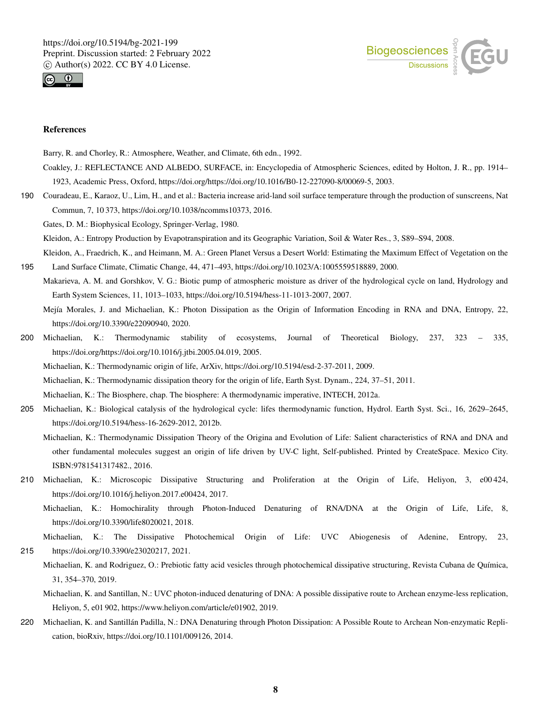



### References

Barry, R. and Chorley, R.: Atmosphere, Weather, and Climate, 6th edn., 1992.

- Coakley, J.: REFLECTANCE AND ALBEDO, SURFACE, in: Encyclopedia of Atmospheric Sciences, edited by Holton, J. R., pp. 1914– 1923, Academic Press, Oxford, https://doi.org/https://doi.org/10.1016/B0-12-227090-8/00069-5, 2003.
- 190 Couradeau, E., Karaoz, U., Lim, H., and et al.: Bacteria increase arid-land soil surface temperature through the production of sunscreens, Nat Commun, 7, 10 373, https://doi.org/10.1038/ncomms10373, 2016.

Gates, D. M.: Biophysical Ecology, Springer-Verlag, 1980.

Kleidon, A.: Entropy Production by Evapotranspiration and its Geographic Variation, Soil & Water Res., 3, S89–S94, 2008.

Kleidon, A., Fraedrich, K., and Heimann, M. A.: Green Planet Versus a Desert World: Estimating the Maximum Effect of Vegetation on the 195 Land Surface Climate, Climatic Change, 44, 471–493, https://doi.org/10.1023/A:1005559518889, 2000.

Makarieva, A. M. and Gorshkov, V. G.: Biotic pump of atmospheric moisture as driver of the hydrological cycle on land, Hydrology and Earth System Sciences, 11, 1013–1033, https://doi.org/10.5194/hess-11-1013-2007, 2007.

Mejía Morales, J. and Michaelian, K.: Photon Dissipation as the Origin of Information Encoding in RNA and DNA, Entropy, 22, https://doi.org/10.3390/e22090940, 2020.

200 Michaelian, K.: Thermodynamic stability of ecosystems, Journal of Theoretical Biology, 237, 323 – 335, https://doi.org/https://doi.org/10.1016/j.jtbi.2005.04.019, 2005.

Michaelian, K.: Thermodynamic origin of life, ArXiv, https://doi.org/10.5194/esd-2-37-2011, 2009.

Michaelian, K.: Thermodynamic dissipation theory for the origin of life, Earth Syst. Dynam., 224, 37–51, 2011.

Michaelian, K.: The Biosphere, chap. The biosphere: A thermodynamic imperative, INTECH, 2012a.

205 Michaelian, K.: Biological catalysis of the hydrological cycle: lifes thermodynamic function, Hydrol. Earth Syst. Sci., 16, 2629–2645, https://doi.org/10.5194/hess-16-2629-2012, 2012b.

Michaelian, K.: Thermodynamic Dissipation Theory of the Origina and Evolution of Life: Salient characteristics of RNA and DNA and other fundamental molecules suggest an origin of life driven by UV-C light, Self-published. Printed by CreateSpace. Mexico City. ISBN:9781541317482., 2016.

- 210 Michaelian, K.: Microscopic Dissipative Structuring and Proliferation at the Origin of Life, Heliyon, 3, e00 424, https://doi.org/10.1016/j.heliyon.2017.e00424, 2017.
	- Michaelian, K.: Homochirality through Photon-Induced Denaturing of RNA/DNA at the Origin of Life, Life, 8, https://doi.org/10.3390/life8020021, 2018.

Michaelian, K.: The Dissipative Photochemical Origin of Life: UVC Abiogenesis of Adenine, Entropy, 23, 215 https://doi.org/10.3390/e23020217, 2021.

Michaelian, K. and Rodriguez, O.: Prebiotic fatty acid vesicles through photochemical dissipative structuring, Revista Cubana de Química, 31, 354–370, 2019.

- Michaelian, K. and Santillan, N.: UVC photon-induced denaturing of DNA: A possible dissipative route to Archean enzyme-less replication, Heliyon, 5, e01 902, https://www.heliyon.com/article/e01902, 2019.
- 220 Michaelian, K. and Santillán Padilla, N.: DNA Denaturing through Photon Dissipation: A Possible Route to Archean Non-enzymatic Replication, bioRxiv, https://doi.org/10.1101/009126, 2014.